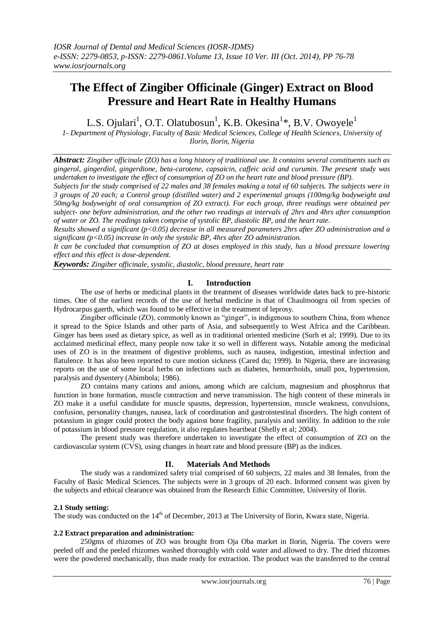# **The Effect of Zingiber Officinale (Ginger) Extract on Blood Pressure and Heart Rate in Healthy Humans**

L.S. Ojulari<sup>1</sup>, O.T. Olatubosun<sup>1</sup>, K.B. Okesina<sup>1</sup>\*, B.V. Owoyele<sup>1</sup>

*1- Department of Physiology, Faculty of Basic Medical Sciences, College of Health Sciences, University of Ilorin, Ilorin, Nigeria*

*Abstract: Zingiber officinale (ZO) has a long history of traditional use. It contains several constituents such as gingerol, gingerdiol, gingerdione, beta-carotene, capsaicin, caffeic acid and curumin. The present study was undertaken to investigate the effect of consumption of ZO on the heart rate and blood pressure (BP).*

*Subjects for the study comprised of 22 males and 38 females making a total of 60 subjects. The subjects were in 3 groups of 20 each; a Control group (distilled water) and 2 experimental groups (100mg/kg bodyweight and 50mg/kg bodyweight of oral consumption of ZO extract). For each group, three readings were obtained per subject- one before administration, and the other two readings at intervals of 2hrs and 4hrs after consumption of water or ZO. The readings taken comprise of systolic BP, diastolic BP, and the heart rate.*

*Results showed a significant (p<0.05) decrease in all measured parameters 2hrs after ZO administration and a significant (p<0.05) increase in only the systolic BP, 4hrs after ZO administration.*

*It can be concluded that consumption of ZO at doses employed in this study, has a blood pressure lowering effect and this effect is dose-dependent.*

*Keywords: Zingiber officinale, systolic, diastolic, blood pressure, heart rate*

## **I. Introduction**

The use of herbs or medicinal plants in the treatment of diseases worldwide dates back to pre-historic times. One of the earliest records of the use of herbal medicine is that of Chaulmoogra oil from species of Hydrocarpus gaerth, which was found to be effective in the treatment of leprosy.

Zingiber officinale (ZO), commonly known as "ginger", is indigenous to southern China, from whence it spread to the Spice Islands and other parts of Asia, and subsequently to West Africa and the Caribbean. Ginger has been used as dietary spice, as well as in traditional oriented medicine (Surh et al; 1999). Due to its acclaimed medicinal effect, many people now take it so well in different ways. Notable among the medicinal uses of ZO is in the treatment of digestive problems, such as nausea, indigestion, intestinal infection and flatulence. It has also been reported to cure motion sickness (Cared du; 1999). In Nigeria, there are increasing reports on the use of some local herbs on infections such as diabetes, hemorrhoids, small pox, hypertension, paralysis and dysentery (Abimbola; 1986).

ZO contains many cations and anions, among which are calcium, magnesium and phosphorus that function in bone formation, muscle contraction and nerve transmission. The high content of these minerals in ZO make it a useful candidate for muscle spasms, depression, hypertension, muscle weakness, convulsions, confusion, personality changes, nausea, lack of coordination and gastrointestinal disorders. The high content of potassium in ginger could protect the body against bone fragility, paralysis and sterility. In addition to the role of potassium in blood pressure regulation, it also regulates heartbeat (Shelly et al; 2004).

The present study was therefore undertaken to investigate the effect of consumption of ZO on the cardiovascular system (CVS), using changes in heart rate and blood pressure (BP) as the indices.

## **II. Materials And Methods**

The study was a randomized safety trial comprised of 60 subjects, 22 males and 38 females, from the Faculty of Basic Medical Sciences. The subjects were in 3 groups of 20 each. Informed consent was given by the subjects and ethical clearance was obtained from the Research Ethic Committee, University of Ilorin.

## **2.1 Study setting:**

The study was conducted on the 14<sup>th</sup> of December, 2013 at The University of Ilorin, Kwara state, Nigeria.

### **2.2 Extract preparation and administration:**

250gms of rhizomes of ZO was brought from Oja Oba market in Ilorin, Nigeria. The covers were peeled off and the peeled rhizomes washed thoroughly with cold water and allowed to dry. The dried rhizomes were the powdered mechanically, thus made ready for extraction. The product was the transferred to the central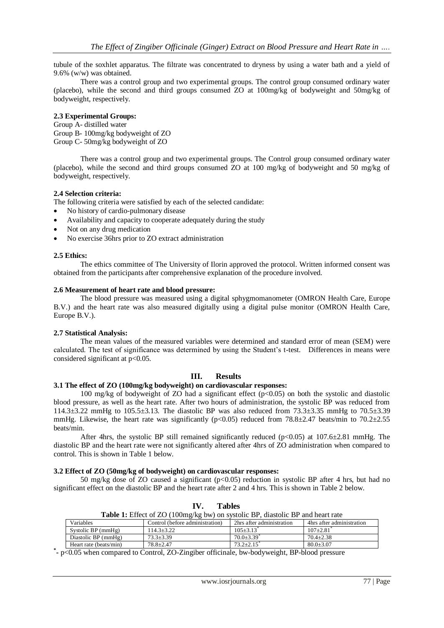tubule of the soxhlet apparatus. The filtrate was concentrated to dryness by using a water bath and a yield of 9.6% (w/w) was obtained.

There was a control group and two experimental groups. The control group consumed ordinary water (placebo), while the second and third groups consumed ZO at 100mg/kg of bodyweight and 50mg/kg of bodyweight, respectively.

## **2.3 Experimental Groups:**

Group A- distilled water Group B- 100mg/kg bodyweight of ZO Group C- 50mg/kg bodyweight of ZO

There was a control group and two experimental groups. The Control group consumed ordinary water (placebo), while the second and third groups consumed ZO at 100 mg/kg of bodyweight and 50 mg/kg of bodyweight, respectively.

## **2.4 Selection criteria:**

The following criteria were satisfied by each of the selected candidate:

- No history of cardio-pulmonary disease
- Availability and capacity to cooperate adequately during the study
- Not on any drug medication
- No exercise 36hrs prior to ZO extract administration

## **2.5 Ethics:**

The ethics committee of The University of Ilorin approved the protocol. Written informed consent was obtained from the participants after comprehensive explanation of the procedure involved.

### **2.6 Measurement of heart rate and blood pressure:**

The blood pressure was measured using a digital sphygmomanometer (OMRON Health Care, Europe B.V.) and the heart rate was also measured digitally using a digital pulse monitor (OMRON Health Care, Europe B.V.).

### **2.7 Statistical Analysis:**

The mean values of the measured variables were determined and standard error of mean (SEM) were calculated. The test of significance was determined by using the Student's t-test. Differences in means were considered significant at  $p<0.05$ .

## **III. Results**

### **3.1 The effect of ZO (100mg/kg bodyweight) on cardiovascular responses:**

100 mg/kg of bodyweight of ZO had a significant effect  $(p<0.05)$  on both the systolic and diastolic blood pressure, as well as the heart rate. After two hours of administration, the systolic BP was reduced from 114.3±3.22 mmHg to 105.5±3.13. The diastolic BP was also reduced from 73.3±3.35 mmHg to 70.5±3.39 mmHg. Likewise, the heart rate was significantly (p<0.05) reduced from  $78.8\pm2.47$  beats/min to  $70.2\pm2.55$ beats/min.

After 4hrs, the systolic BP still remained significantly reduced ( $p<0.05$ ) at 107.6 $\pm$ 2.81 mmHg. The diastolic BP and the heart rate were not significantly altered after 4hrs of ZO administration when compared to control. This is shown in Table 1 below.

### **3.2 Effect of ZO (50mg/kg of bodyweight) on cardiovascular responses:**

50 mg/kg dose of ZO caused a significant (p<0.05) reduction in systolic BP after 4 hrs, but had no significant effect on the diastolic BP and the heart rate after 2 and 4 hrs. This is shown in Table 2 below.

| <b>Table 1:</b> Effect of ZO (100mg/kg bw) on systolic BP, diastolic BP and heart rate |                                 |                              |                           |  |  |  |
|----------------------------------------------------------------------------------------|---------------------------------|------------------------------|---------------------------|--|--|--|
| <b>Variables</b>                                                                       | Control (before administration) | 2hrs after administration    | 4hrs after administration |  |  |  |
| Systolic BP $(mmHg)$                                                                   | $114.3 + 3.22$                  | $105 + 3.13$ <sup>*</sup>    | $107+2.81$                |  |  |  |
| Diastolic BP (mmHg)                                                                    | $73.3 + 3.39$                   | $70.0 + 3.39$ <sup>*</sup>   | $70.4 + 2.38$             |  |  |  |
| Heart rate (beats/min)                                                                 | $78.8 + 2.47$                   | $73.2 \pm 2.15$ <sup>*</sup> | $80.0 + 3.07$             |  |  |  |

**IV. Tables**

**\* -** p<0.05 when compared to Control, ZO-Zingiber officinale, bw-bodyweight, BP-blood pressure